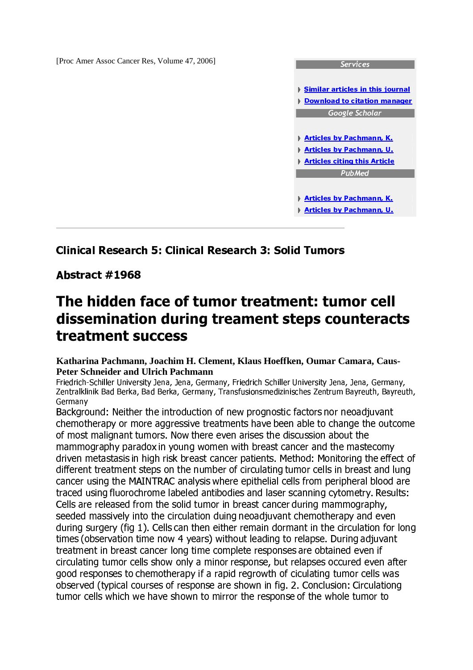[Proc Amer Assoc Cancer Res, Volume 47, 2006]



## - 

 - 

 !"#%\$'&)(\*!+

## Abstract #1968

## The hidden face of tumor treatment: tumor cell dissemination during treament steps counteracts treatment success

## **Katharina Pachmann, Joachim H. Clement, Klaus Hoeffken, Oumar Camara, Caus-Peter Schneider and Ulrich Pachmann**

Friedrich-Schiller University Jena, Jena, Germany, Friedrich Schiller University Jena, Jena, Germany, Zentralklinik Bad Berka, Bad Berka, Germany, Transfusionsmedizinisches Zentrum Bayreuth, Bayreuth, Germany

Background: Neither the introduction of new prognostic factors nor neoadjuvant  ${}^{\rm\!}$  and  ${}^{\rm\!}$  and  ${}^{\rm\!}$  . The state of  $\rm I$  and  ${}^{\rm\!}$  and  ${}^{\rm\!}$  and  ${}^{\rm\!}$  and  ${}^{\rm\!}$  and  ${}^{\rm\!}$  and  ${}^{\rm\!}$  and  ${}^{\rm\!}$  and  ${}^{\rm\!}$  and  ${}^{\rm\!}$  and  ${}^{\rm\!}$  and  ${}^{\rm\!}$  and  ${}^{\$ of most malignant tumors. Now there even arises the discussion about the  $u\in U$  and  $u\in U$  and  $u\in U$  and  $u\in U$  and  $u\in U$  and  $u\in U$  and  $u\in U$  and  $u\in U$ driven metastasis in high risk breast cancer patients. Method: Monitoring the effect of  $\blacksquare$  . The matrix of the matrix  $\blacksquare$  and the matrix of the matrix  $\blacksquare$  and the matrix of the matrix of the matrix of the matrix of the matrix of the matrix of the matrix of the matrix of the matrix of the matrix of  $\mathcal{M}$  is the set of  $\mathcal{M}$  . The component is the component of  $\mathcal{M}$  and  $\mathcal{M}$  and  $\mathcal{M}$ traced using fluorochrome labeled antibodies and laser scanning cytometry. Results: ª M uMy2yM \u\\Zym{}°g\.{} f|M-{}y~Oym\u\=\_vHuM~hvHMy0z|Myk~hxuM.{]xzymuMOBh±  $\blacksquare$  . The contraction of the contraction of the contraction of the contraction of the contraction of the contraction of the contraction of the contraction of the contraction of the contraction of the contraction of the  $\blacksquare$ W\:²k{}hMy¯hug {~W~\{h·¶2h\uMymµ:- W\{}|B¸ \u\~\x#{®ymM uMh¹|MyW~hx)u\BW|BhuM~ treatment in breast cancer long time complete responses are obtained even if circulating tumor cells show only a minor response, but relapses occured even after good responses to chemotherapy if a rapid regrowth of ciculating tumor cells was  ${\mathcal{A}}$  , and  ${\mathcal{A}}$  and  ${\mathcal{A}}$  and  ${\mathcal{A}}$  and  ${\mathcal{A}}$  and  ${\mathcal{A}}$  and  ${\mathcal{A}}$  and  ${\mathcal{A}}$  and  ${\mathcal{A}}$  and  ${\mathcal{A}}$  and  ${\mathcal{A}}$  and  ${\mathcal{A}}$  and  ${\mathcal{A}}$  and  ${\mathcal{A}}$  and  ${\mathcal{A}}$  and  ${\mathcal{A}}$  and  ${\mathcal{A}}$  an  $M$  is the set of the set of the set of the set of the set of the set of the set of the set of the set of the set of the set of the set of the set of the set of the set of the set of the set of the set of the set of the s